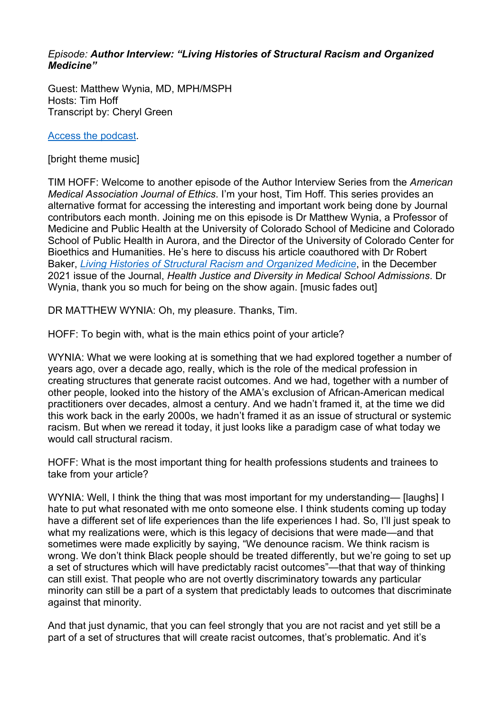## *Episode: Author Interview: "Living Histories of Structural Racism and Organized Medicine"*

Guest: Matthew Wynia, MD, MPH/MSPH Hosts: Tim Hoff Transcript by: Cheryl Green

[Access the podcast.](https://journalofethics.ama-assn.org/podcast/author-interview-living-histories-structural-racism-and-organized-medicine)

[bright theme music]

TIM HOFF: Welcome to another episode of the Author Interview Series from the *American Medical Association Journal of Ethics*. I'm your host, Tim Hoff. This series provides an alternative format for accessing the interesting and important work being done by Journal contributors each month. Joining me on this episode is Dr Matthew Wynia, a Professor of Medicine and Public Health at the University of Colorado School of Medicine and Colorado School of Public Health in Aurora, and the Director of the University of Colorado Center for Bioethics and Humanities. He's here to discuss his article coauthored with Dr Robert Baker, *[Living Histories of Structural Racism and Organized Medicine](https://journalofethics.ama-assn.org/article/living-histories-structural-racism-and-organized-medicine/2021-12)*, in the December 2021 issue of the Journal, *Health Justice and Diversity in Medical School Admissions*. Dr Wynia, thank you so much for being on the show again. [music fades out]

DR MATTHEW WYNIA: Oh, my pleasure. Thanks, Tim.

HOFF: To begin with, what is the main ethics point of your article?

WYNIA: What we were looking at is something that we had explored together a number of years ago, over a decade ago, really, which is the role of the medical profession in creating structures that generate racist outcomes. And we had, together with a number of other people, looked into the history of the AMA's exclusion of African-American medical practitioners over decades, almost a century. And we hadn't framed it, at the time we did this work back in the early 2000s, we hadn't framed it as an issue of structural or systemic racism. But when we reread it today, it just looks like a paradigm case of what today we would call structural racism.

HOFF: What is the most important thing for health professions students and trainees to take from your article?

WYNIA: Well, I think the thing that was most important for my understanding— [laughs] I hate to put what resonated with me onto someone else. I think students coming up today have a different set of life experiences than the life experiences I had. So, I'll just speak to what my realizations were, which is this legacy of decisions that were made—and that sometimes were made explicitly by saying, "We denounce racism. We think racism is wrong. We don't think Black people should be treated differently, but we're going to set up a set of structures which will have predictably racist outcomes"—that that way of thinking can still exist. That people who are not overtly discriminatory towards any particular minority can still be a part of a system that predictably leads to outcomes that discriminate against that minority.

And that just dynamic, that you can feel strongly that you are not racist and yet still be a part of a set of structures that will create racist outcomes, that's problematic. And it's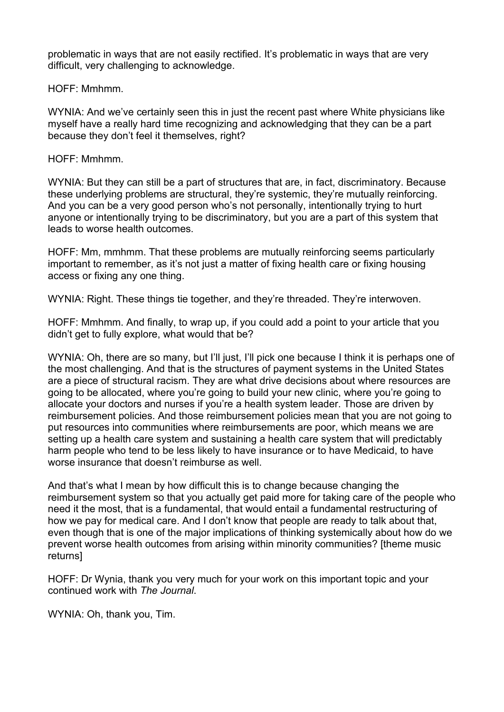problematic in ways that are not easily rectified. It's problematic in ways that are very difficult, very challenging to acknowledge.

HOFF: Mmhmm.

WYNIA: And we've certainly seen this in just the recent past where White physicians like myself have a really hard time recognizing and acknowledging that they can be a part because they don't feel it themselves, right?

HOFF: Mmhmm.

WYNIA: But they can still be a part of structures that are, in fact, discriminatory. Because these underlying problems are structural, they're systemic, they're mutually reinforcing. And you can be a very good person who's not personally, intentionally trying to hurt anyone or intentionally trying to be discriminatory, but you are a part of this system that leads to worse health outcomes.

HOFF: Mm, mmhmm. That these problems are mutually reinforcing seems particularly important to remember, as it's not just a matter of fixing health care or fixing housing access or fixing any one thing.

WYNIA: Right. These things tie together, and they're threaded. They're interwoven.

HOFF: Mmhmm. And finally, to wrap up, if you could add a point to your article that you didn't get to fully explore, what would that be?

WYNIA: Oh, there are so many, but I'll just, I'll pick one because I think it is perhaps one of the most challenging. And that is the structures of payment systems in the United States are a piece of structural racism. They are what drive decisions about where resources are going to be allocated, where you're going to build your new clinic, where you're going to allocate your doctors and nurses if you're a health system leader. Those are driven by reimbursement policies. And those reimbursement policies mean that you are not going to put resources into communities where reimbursements are poor, which means we are setting up a health care system and sustaining a health care system that will predictably harm people who tend to be less likely to have insurance or to have Medicaid, to have worse insurance that doesn't reimburse as well.

And that's what I mean by how difficult this is to change because changing the reimbursement system so that you actually get paid more for taking care of the people who need it the most, that is a fundamental, that would entail a fundamental restructuring of how we pay for medical care. And I don't know that people are ready to talk about that, even though that is one of the major implications of thinking systemically about how do we prevent worse health outcomes from arising within minority communities? [theme music returns]

HOFF: Dr Wynia, thank you very much for your work on this important topic and your continued work with *The Journal*.

WYNIA: Oh, thank you, Tim.